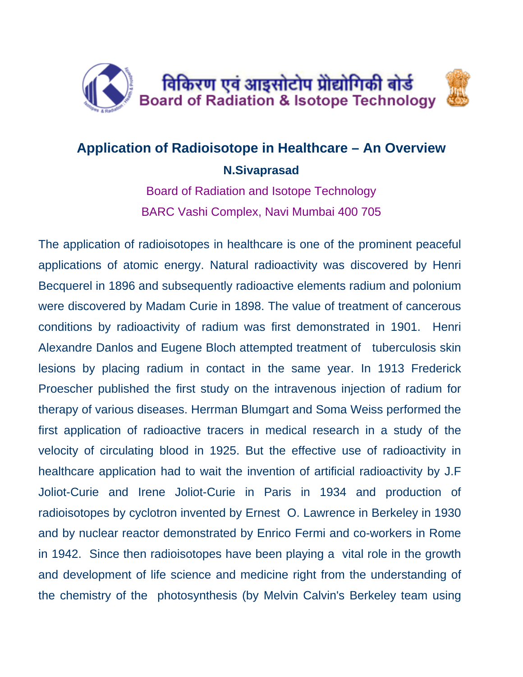

## **Application of Radioisotope in Healthcare – An Overview N.Sivaprasad**

Board of Radiation and Isotope Technology BARC Vashi Complex, Navi Mumbai 400 705

The application of radioisotopes in healthcare is one of the prominent peaceful applications of atomic energy. Natural radioactivity was discovered by Henri Becquerel in 1896 and subsequently radioactive elements radium and polonium were discovered by Madam Curie in 1898. The value of treatment of cancerous conditions by radioactivity of radium was first demonstrated in 1901. Henri Alexandre Danlos and Eugene Bloch attempted treatment of tuberculosis skin lesions by placing radium in contact in the same year. In 1913 Frederick Proescher published the first study on the intravenous injection of radium for therapy of various diseases. Herrman Blumgart and Soma Weiss performed the first application of radioactive tracers in medical research in a study of the velocity of circulating blood in 1925. But the effective use of radioactivity in healthcare application had to wait the invention of artificial radioactivity by J.F Joliot-Curie and Irene Joliot-Curie in Paris in 1934 and production of radioisotopes by cyclotron invented by Ernest O. Lawrence in Berkeley in 1930 and by nuclear reactor demonstrated by Enrico Fermi and co-workers in Rome in 1942. Since then radioisotopes have been playing a vital role in the growth and development of life science and medicine right from the understanding of the chemistry of the photosynthesis (by Melvin Calvin's Berkeley team using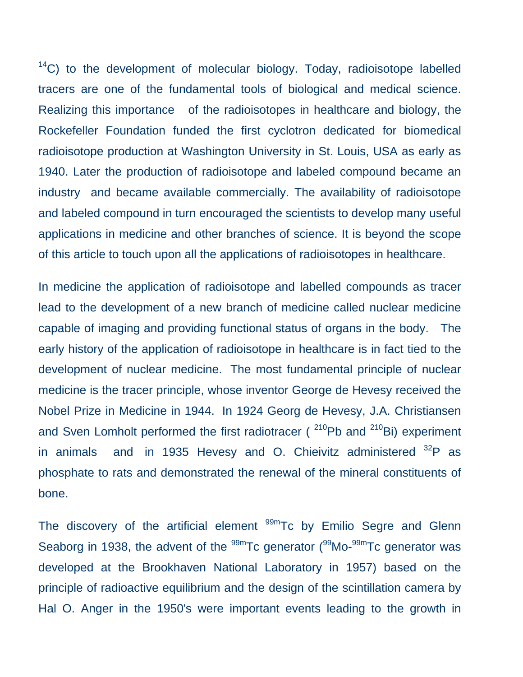$14$ C) to the development of molecular biology. Today, radioisotope labelled tracers are one of the fundamental tools of biological and medical science. Realizing this importance of the radioisotopes in healthcare and biology, the Rockefeller Foundation funded the first cyclotron dedicated for biomedical radioisotope production at Washington University in St. Louis, USA as early as 1940. Later the production of radioisotope and labeled compound became an industry and became available commercially. The availability of radioisotope and labeled compound in turn encouraged the scientists to develop many useful applications in medicine and other branches of science. It is beyond the scope of this article to touch upon all the applications of radioisotopes in healthcare.

In medicine the application of radioisotope and labelled compounds as tracer lead to the development of a new branch of medicine called nuclear medicine capable of imaging and providing functional status of organs in the body. The early history of the application of radioisotope in healthcare is in fact tied to the development of nuclear medicine. The most fundamental principle of nuclear medicine is the tracer principle, whose inventor George de Hevesy received the Nobel Prize in Medicine in 1944. In 1924 Georg de Hevesy, J.A. Christiansen and Sven Lomholt performed the first radiotracer ( $^{210}$ Pb and  $^{210}$ Bi) experiment in animals and in 1935 Hevesy and O. Chieivitz administered  $32P$  as phosphate to rats and demonstrated the renewal of the mineral constituents of bone.

The discovery of the artificial element  $99m$ Tc by Emilio Segre and Glenn Seaborg in 1938, the advent of the  $99m$ Tc generator  $(99Mo-99m)$ Tc generator was developed at the Brookhaven National Laboratory in 1957) based on the principle of radioactive equilibrium and the design of the scintillation camera by Hal O. Anger in the 1950's were important events leading to the growth in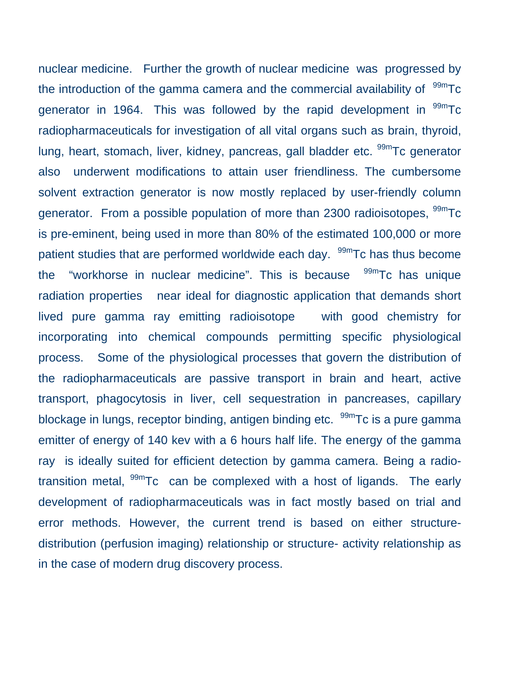nuclear medicine. Further the growth of nuclear medicine was progressed by the introduction of the gamma camera and the commercial availability of  $99m$ Tc generator in 1964. This was followed by the rapid development in  $^{99m}$ Tc radiopharmaceuticals for investigation of all vital organs such as brain, thyroid, lung, heart, stomach, liver, kidney, pancreas, gall bladder etc. <sup>99m</sup>Tc generator also underwent modifications to attain user friendliness. The cumbersome solvent extraction generator is now mostly replaced by user-friendly column generator. From a possible population of more than 2300 radioisotopes, <sup>99m</sup>Tc is pre-eminent, being used in more than 80% of the estimated 100,000 or more patient studies that are performed worldwide each day. <sup>99m</sup>Tc has thus become the "workhorse in nuclear medicine". This is because  $99m$ Tc has unique radiation properties near ideal for diagnostic application that demands short lived pure gamma ray emitting radioisotope with good chemistry for incorporating into chemical compounds permitting specific physiological process. Some of the physiological processes that govern the distribution of the radiopharmaceuticals are passive transport in brain and heart, active transport, phagocytosis in liver, cell sequestration in pancreases, capillary blockage in lungs, receptor binding, antigen binding etc. <sup>99m</sup>Tc is a pure gamma emitter of energy of 140 kev with a 6 hours half life. The energy of the gamma ray is ideally suited for efficient detection by gamma camera. Being a radiotransition metal,  $99m$ Tc can be complexed with a host of ligands. The early development of radiopharmaceuticals was in fact mostly based on trial and error methods. However, the current trend is based on either structuredistribution (perfusion imaging) relationship or structure- activity relationship as in the case of modern drug discovery process.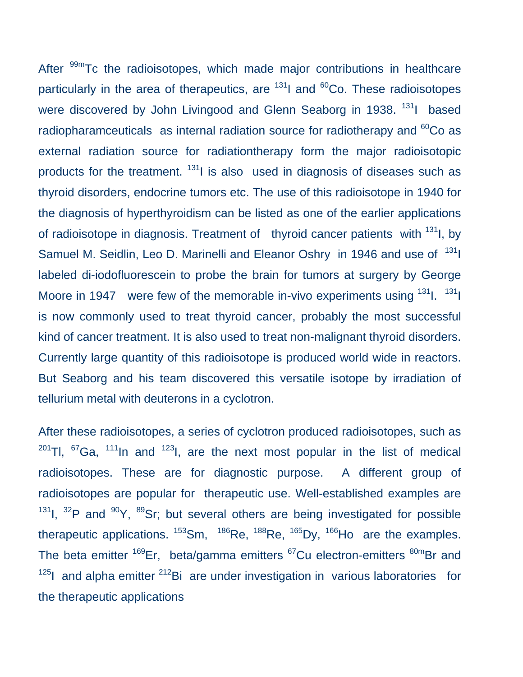After <sup>99m</sup>Tc the radioisotopes, which made major contributions in healthcare particularly in the area of therapeutics, are  $131$  and  $60$ Co. These radioisotopes were discovered by John Livingood and Glenn Seaborg in 1938. <sup>131</sup>I based radiopharamceuticals as internal radiation source for radiotherapy and  ${}^{60}$ Co as external radiation source for radiationtherapy form the major radioisotopic products for the treatment. <sup>131</sup>I is also used in diagnosis of diseases such as thyroid disorders, endocrine tumors etc. The use of this radioisotope in 1940 for the diagnosis of hyperthyroidism can be listed as one of the earlier applications of radioisotope in diagnosis. Treatment of thyroid cancer patients with <sup>131</sup>l, by Samuel M. Seidlin, Leo D. Marinelli and Eleanor Oshry in 1946 and use of <sup>131</sup>l labeled di-iodofluorescein to probe the brain for tumors at surgery by George Moore in 1947 were few of the memorable in-vivo experiments using  $131$ .  $131$ is now commonly used to treat thyroid cancer, probably the most successful kind of cancer treatment. It is also used to treat non-malignant thyroid disorders. Currently large quantity of this radioisotope is produced world wide in reactors. But Seaborg and his team discovered this versatile isotope by irradiation of tellurium metal with deuterons in a cyclotron.

After these radioisotopes, a series of cyclotron produced radioisotopes, such as  $201$ Tl,  $67$ Ga,  $111$ In and  $123$ I, are the next most popular in the list of medical radioisotopes. These are for diagnostic purpose. A different group of radioisotopes are popular for therapeutic use. Well-established examples are  $131$ I,  $32$ P and  $90$ Y,  $89$ Sr; but several others are being investigated for possible therapeutic applications.  $153$ Sm,  $186$ Re,  $188$ Re,  $165$ Dy,  $166$ Ho are the examples. The beta emitter  $169$ Er, beta/gamma emitters  $67$ Cu electron-emitters  $80$ <sup>m</sup>Br and  $125$ I and alpha emitter  $212$ Bi are under investigation in various laboratories for the therapeutic applications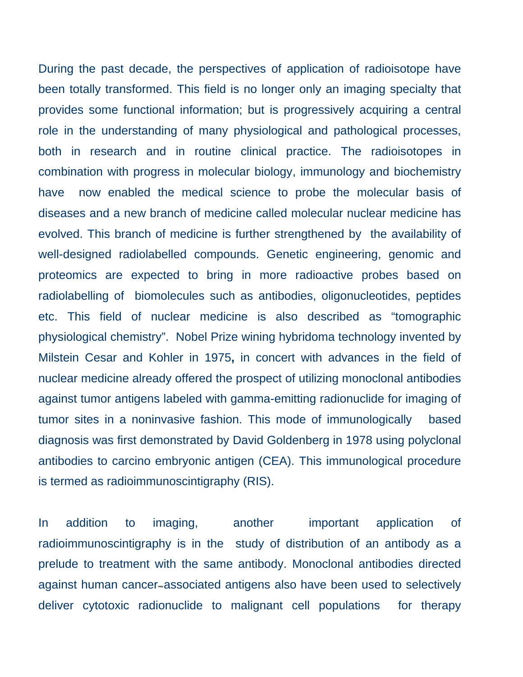During the past decade, the perspectives of application of radioisotope have been totally transformed. This field is no longer only an imaging specialty that provides some functional information; but is progressively acquiring a central role in the understanding of many physiological and pathological processes, both in research and in routine clinical practice. The radioisotopes in combination with progress in molecular biology, immunology and biochemistry have now enabled the medical science to probe the molecular basis of diseases and a new branch of medicine called molecular nuclear medicine has evolved. This branch of medicine is further strengthened by the availability of well-designed radiolabelled compounds. Genetic engineering, genomic and proteomics are expected to bring in more radioactive probes based on radiolabelling of biomolecules such as antibodies, oligonucleotides, peptides etc. This field of nuclear medicine is also described as "tomographic physiological chemistry". Nobel Prize wining hybridoma technology invented by Milstein Cesar and Kohler in 1975**,** in concert with advances in the field of nuclear medicine already offered the prospect of utilizing monoclonal antibodies against tumor antigens labeled with gamma-emitting radionuclide for imaging of tumor sites in a noninvasive fashion. This mode of immunologically based diagnosis was first demonstrated by David Goldenberg in 1978 using polyclonal antibodies to carcino embryonic antigen (CEA). This immunological procedure is termed as radioimmunoscintigraphy (RIS).

In addition to imaging, another important application of radioimmunoscintigraphy is in the study of distribution of an antibody as a prelude to treatment with the same antibody. Monoclonal antibodies directed against human cancer-associated antigens also have been used to selectively deliver cytotoxic radionuclide to malignant cell populations for therapy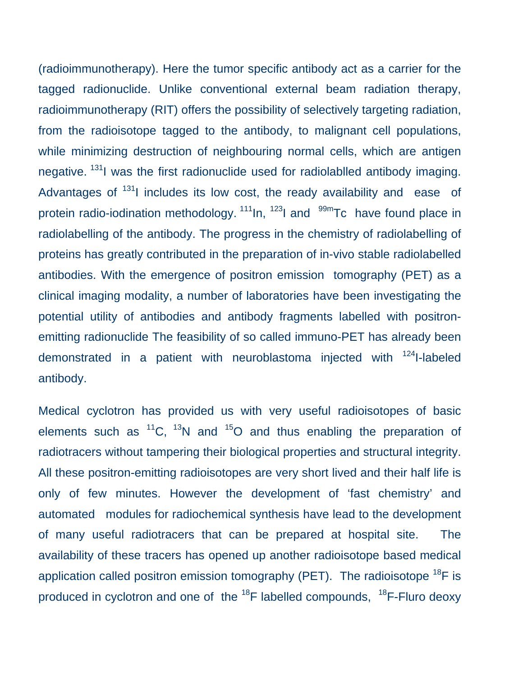(radioimmunotherapy). Here the tumor specific antibody act as a carrier for the tagged radionuclide. Unlike conventional external beam radiation therapy, radioimmunotherapy (RIT) offers the possibility of selectively targeting radiation, from the radioisotope tagged to the antibody, to malignant cell populations, while minimizing destruction of neighbouring normal cells, which are antigen negative. <sup>131</sup>I was the first radionuclide used for radiolabiled antibody imaging. Advantages of  $131$  includes its low cost, the ready availability and ease of protein radio-iodination methodology.  $111$ In,  $123$ I and  $99$ <sup>m</sup>Tc have found place in radiolabelling of the antibody. The progress in the chemistry of radiolabelling of proteins has greatly contributed in the preparation of in-vivo stable radiolabelled antibodies. With the emergence of positron emission tomography (PET) as a clinical imaging modality, a number of laboratories have been investigating the potential utility of antibodies and antibody fragments labelled with positronemitting radionuclide The feasibility of so called immuno-PET has already been demonstrated in a patient with neuroblastoma injected with <sup>124</sup>I-labeled antibody.

Medical cyclotron has provided us with very useful radioisotopes of basic elements such as  ${}^{11}C$ ,  ${}^{13}N$  and  ${}^{15}O$  and thus enabling the preparation of radiotracers without tampering their biological properties and structural integrity. All these positron-emitting radioisotopes are very short lived and their half life is only of few minutes. However the development of 'fast chemistry' and automated modules for radiochemical synthesis have lead to the development of many useful radiotracers that can be prepared at hospital site. The availability of these tracers has opened up another radioisotope based medical application called positron emission tomography (PET). The radioisotope  $^{18}F$  is produced in cyclotron and one of the  $^{18}$ F labelled compounds,  $^{18}$ F-Fluro deoxy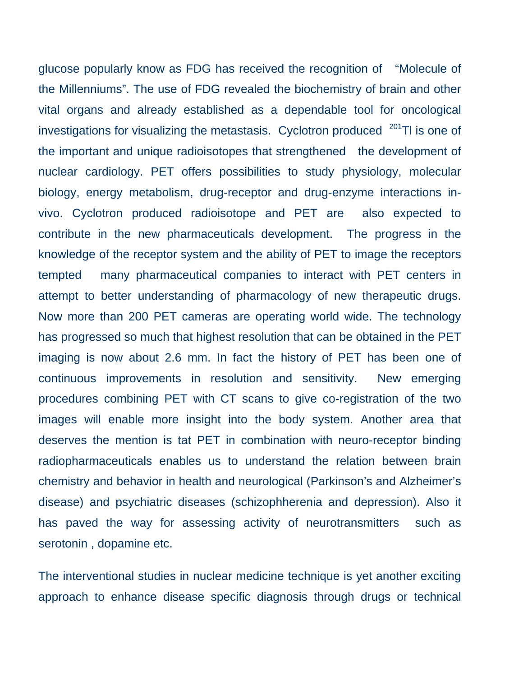glucose popularly know as FDG has received the recognition of "Molecule of the Millenniums". The use of FDG revealed the biochemistry of brain and other vital organs and already established as a dependable tool for oncological investigations for visualizing the metastasis. Cyclotron produced  $201$ Tl is one of the important and unique radioisotopes that strengthened the development of nuclear cardiology. PET offers possibilities to study physiology, molecular biology, energy metabolism, drug-receptor and drug-enzyme interactions invivo. Cyclotron produced radioisotope and PET are also expected to contribute in the new pharmaceuticals development. The progress in the knowledge of the receptor system and the ability of PET to image the receptors tempted many pharmaceutical companies to interact with PET centers in attempt to better understanding of pharmacology of new therapeutic drugs. Now more than 200 PET cameras are operating world wide. The technology has progressed so much that highest resolution that can be obtained in the PET imaging is now about 2.6 mm. In fact the history of PET has been one of continuous improvements in resolution and sensitivity. New emerging procedures combining PET with CT scans to give co-registration of the two images will enable more insight into the body system. Another area that deserves the mention is tat PET in combination with neuro-receptor binding radiopharmaceuticals enables us to understand the relation between brain chemistry and behavior in health and neurological (Parkinson's and Alzheimer's disease) and psychiatric diseases (schizophherenia and depression). Also it has paved the way for assessing activity of neurotransmitters such as serotonin , dopamine etc.

The interventional studies in nuclear medicine technique is yet another exciting approach to enhance disease specific diagnosis through drugs or technical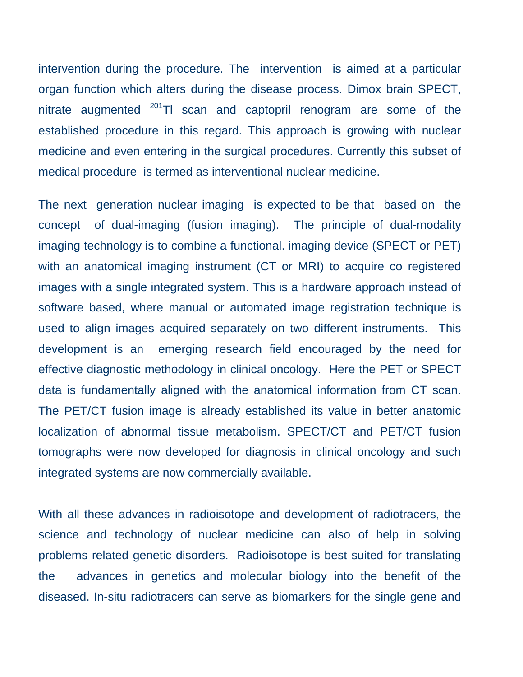intervention during the procedure. The intervention is aimed at a particular organ function which alters during the disease process. Dimox brain SPECT, nitrate augmented  $201$ Tl scan and captopril renogram are some of the established procedure in this regard. This approach is growing with nuclear medicine and even entering in the surgical procedures. Currently this subset of medical procedure is termed as interventional nuclear medicine.

The next generation nuclear imaging is expected to be that based on the concept of dual-imaging (fusion imaging). The principle of dual-modality imaging technology is to combine a functional. imaging device (SPECT or PET) with an anatomical imaging instrument (CT or MRI) to acquire co registered images with a single integrated system. This is a hardware approach instead of software based, where manual or automated image registration technique is used to align images acquired separately on two different instruments. This development is an emerging research field encouraged by the need for effective diagnostic methodology in clinical oncology. Here the PET or SPECT data is fundamentally aligned with the anatomical information from CT scan. The PET/CT fusion image is already established its value in better anatomic localization of abnormal tissue metabolism. SPECT/CT and PET/CT fusion tomographs were now developed for diagnosis in clinical oncology and such integrated systems are now commercially available.

With all these advances in radioisotope and development of radiotracers, the science and technology of nuclear medicine can also of help in solving problems related genetic disorders. Radioisotope is best suited for translating the advances in genetics and molecular biology into the benefit of the diseased. In-situ radiotracers can serve as biomarkers for the single gene and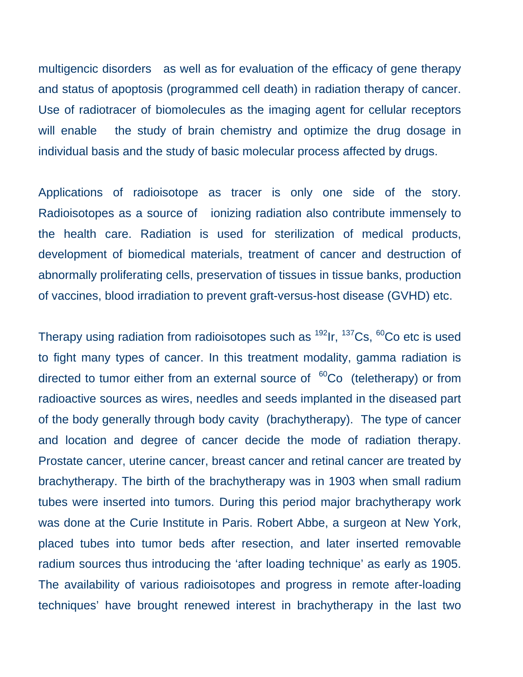multigencic disorders as well as for evaluation of the efficacy of gene therapy and status of apoptosis (programmed cell death) in radiation therapy of cancer. Use of radiotracer of biomolecules as the imaging agent for cellular receptors will enable the study of brain chemistry and optimize the drug dosage in individual basis and the study of basic molecular process affected by drugs.

Applications of radioisotope as tracer is only one side of the story. Radioisotopes as a source of ionizing radiation also contribute immensely to the health care. Radiation is used for sterilization of medical products, development of biomedical materials, treatment of cancer and destruction of abnormally proliferating cells, preservation of tissues in tissue banks, production of vaccines, blood irradiation to prevent graft-versus-host disease (GVHD) etc.

Therapy using radiation from radioisotopes such as  $^{192}$ Ir,  $^{137}$ Cs,  $^{60}$ Co etc is used to fight many types of cancer. In this treatment modality, gamma radiation is directed to tumor either from an external source of  ${}^{60}Co$  (teletherapy) or from radioactive sources as wires, needles and seeds implanted in the diseased part of the body generally through body cavity (brachytherapy). The type of cancer and location and degree of cancer decide the mode of radiation therapy. Prostate cancer, uterine cancer, breast cancer and retinal cancer are treated by brachytherapy. The birth of the brachytherapy was in 1903 when small radium tubes were inserted into tumors. During this period major brachytherapy work was done at the Curie Institute in Paris. Robert Abbe, a surgeon at New York, placed tubes into tumor beds after resection, and later inserted removable radium sources thus introducing the 'after loading technique' as early as 1905. The availability of various radioisotopes and progress in remote after-loading techniques' have brought renewed interest in brachytherapy in the last two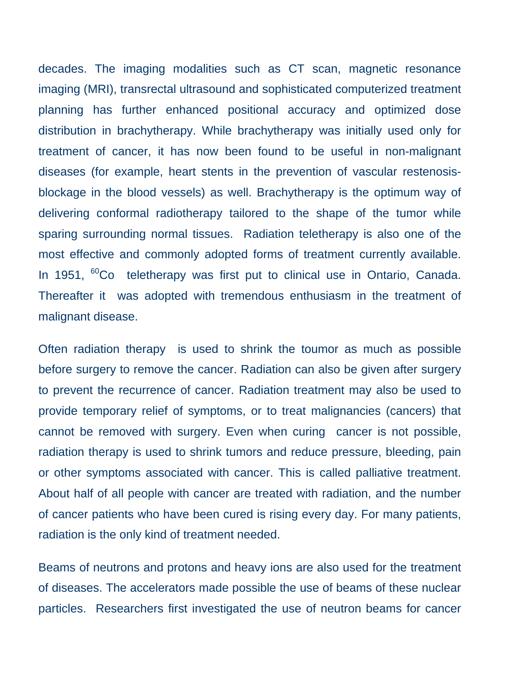decades. The imaging modalities such as CT scan, magnetic resonance imaging (MRI), transrectal ultrasound and sophisticated computerized treatment planning has further enhanced positional accuracy and optimized dose distribution in brachytherapy. While brachytherapy was initially used only for treatment of cancer, it has now been found to be useful in non-malignant diseases (for example, heart stents in the prevention of vascular restenosisblockage in the blood vessels) as well. Brachytherapy is the optimum way of delivering conformal radiotherapy tailored to the shape of the tumor while sparing surrounding normal tissues. Radiation teletherapy is also one of the most effective and commonly adopted forms of treatment currently available. In 1951, <sup>60</sup>Co teletherapy was first put to clinical use in Ontario, Canada. Thereafter it was adopted with tremendous enthusiasm in the treatment of malignant disease.

Often radiation therapy is used to shrink the toumor as much as possible before surgery to remove the cancer. Radiation can also be given after surgery to prevent the recurrence of cancer. Radiation treatment may also be used to provide temporary relief of symptoms, or to treat malignancies (cancers) that cannot be removed with surgery. Even when curing cancer is not possible, radiation therapy is used to shrink tumors and reduce pressure, bleeding, pain or other symptoms associated with cancer. This is called palliative treatment. About half of all people with cancer are treated with radiation, and the number of cancer patients who have been cured is rising every day. For many patients, radiation is the only kind of treatment needed.

Beams of neutrons and protons and heavy ions are also used for the treatment of diseases. The accelerators made possible the use of beams of these nuclear particles. Researchers first investigated the use of neutron beams for cancer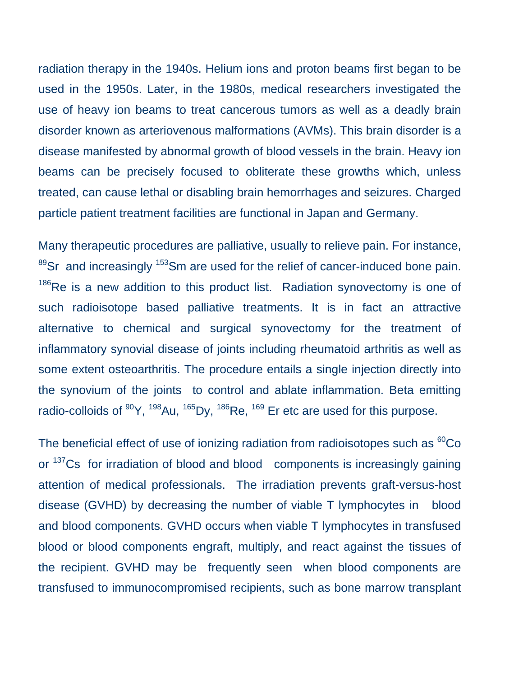radiation therapy in the 1940s. Helium ions and proton beams first began to be used in the 1950s. Later, in the 1980s, medical researchers investigated the use of heavy ion beams to treat cancerous tumors as well as a deadly brain disorder known as arteriovenous malformations (AVMs). This brain disorder is a disease manifested by abnormal growth of blood vessels in the brain. Heavy ion beams can be precisely focused to obliterate these growths which, unless treated, can cause lethal or disabling brain hemorrhages and seizures. Charged particle patient treatment facilities are functional in Japan and Germany.

Many therapeutic procedures are palliative, usually to relieve pain. For instance,  $89$ Sr and increasingly  $153$ Sm are used for the relief of cancer-induced bone pain.  $186$ Re is a new addition to this product list. Radiation synovectomy is one of such radioisotope based palliative treatments. It is in fact an attractive alternative to chemical and surgical synovectomy for the treatment of inflammatory synovial disease of joints including rheumatoid arthritis as well as some extent osteoarthritis. The procedure entails a single injection directly into the synovium of the joints to control and ablate inflammation. Beta emitting radio-colloids of  $^{90}Y$ ,  $^{198}Au$ ,  $^{165}Dy$ ,  $^{186}Re$ ,  $^{169}$  Er etc are used for this purpose.

The beneficial effect of use of ionizing radiation from radioisotopes such as  ${}^{60}Co$ or <sup>137</sup>Cs for irradiation of blood and blood components is increasingly gaining attention of medical professionals. The irradiation prevents graft-versus-host disease (GVHD) by decreasing the number of viable T lymphocytes in blood and blood components. GVHD occurs when viable T lymphocytes in transfused blood or blood components engraft, multiply, and react against the tissues of the recipient. GVHD may be frequently seen when blood components are transfused to immunocompromised recipients, such as bone marrow transplant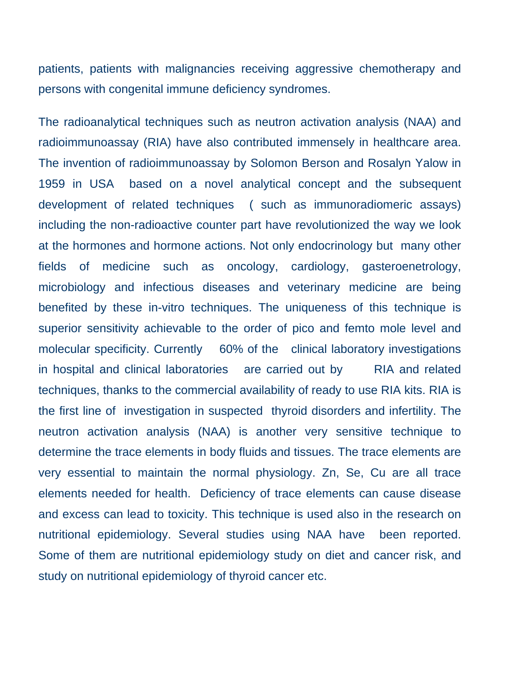patients, patients with malignancies receiving aggressive chemotherapy and persons with congenital immune deficiency syndromes.

The radioanalytical techniques such as neutron activation analysis (NAA) and radioimmunoassay (RIA) have also contributed immensely in healthcare area. The invention of radioimmunoassay by Solomon Berson and Rosalyn Yalow in 1959 in USA based on a novel analytical concept and the subsequent development of related techniques ( such as immunoradiomeric assays) including the non-radioactive counter part have revolutionized the way we look at the hormones and hormone actions. Not only endocrinology but many other fields of medicine such as oncology, cardiology, gasteroenetrology, microbiology and infectious diseases and veterinary medicine are being benefited by these in-vitro techniques. The uniqueness of this technique is superior sensitivity achievable to the order of pico and femto mole level and molecular specificity. Currently 60% of the clinical laboratory investigations in hospital and clinical laboratories are carried out by RIA and related techniques, thanks to the commercial availability of ready to use RIA kits. RIA is the first line of investigation in suspected thyroid disorders and infertility. The neutron activation analysis (NAA) is another very sensitive technique to determine the trace elements in body fluids and tissues. The trace elements are very essential to maintain the normal physiology. Zn, Se, Cu are all trace elements needed for health. Deficiency of trace elements can cause disease and excess can lead to toxicity. This technique is used also in the research on nutritional epidemiology. Several studies using NAA have been reported. Some of them are nutritional epidemiology study on diet and cancer risk, and study on nutritional epidemiology of thyroid cancer etc.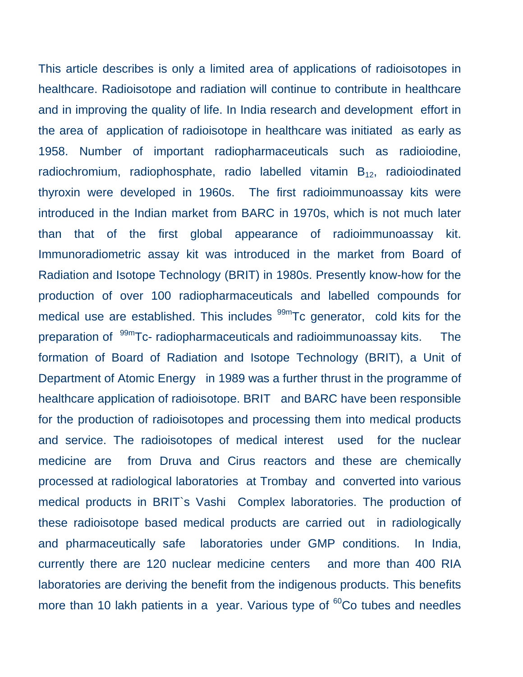This article describes is only a limited area of applications of radioisotopes in healthcare. Radioisotope and radiation will continue to contribute in healthcare and in improving the quality of life. In India research and development effort in the area of application of radioisotope in healthcare was initiated as early as 1958. Number of important radiopharmaceuticals such as radioiodine, radiochromium, radiophosphate, radio labelled vitamin  $B_{12}$ , radioiodinated thyroxin were developed in 1960s. The first radioimmunoassay kits were introduced in the Indian market from BARC in 1970s, which is not much later than that of the first global appearance of radioimmunoassay kit. Immunoradiometric assay kit was introduced in the market from Board of Radiation and Isotope Technology (BRIT) in 1980s. Presently know-how for the production of over 100 radiopharmaceuticals and labelled compounds for medical use are established. This includes  $^{99m}$ Tc generator, cold kits for the preparation of <sup>99m</sup>Tc- radiopharmaceuticals and radioimmunoassay kits. The formation of Board of Radiation and Isotope Technology (BRIT), a Unit of Department of Atomic Energy in 1989 was a further thrust in the programme of healthcare application of radioisotope. BRIT and BARC have been responsible for the production of radioisotopes and processing them into medical products and service. The radioisotopes of medical interest used for the nuclear medicine are from Druva and Cirus reactors and these are chemically processed at radiological laboratories at Trombay and converted into various medical products in BRIT`s Vashi Complex laboratories. The production of these radioisotope based medical products are carried out in radiologically and pharmaceutically safe laboratories under GMP conditions. In India, currently there are 120 nuclear medicine centers and more than 400 RIA laboratories are deriving the benefit from the indigenous products. This benefits more than 10 lakh patients in a year. Various type of <sup>60</sup>Co tubes and needles